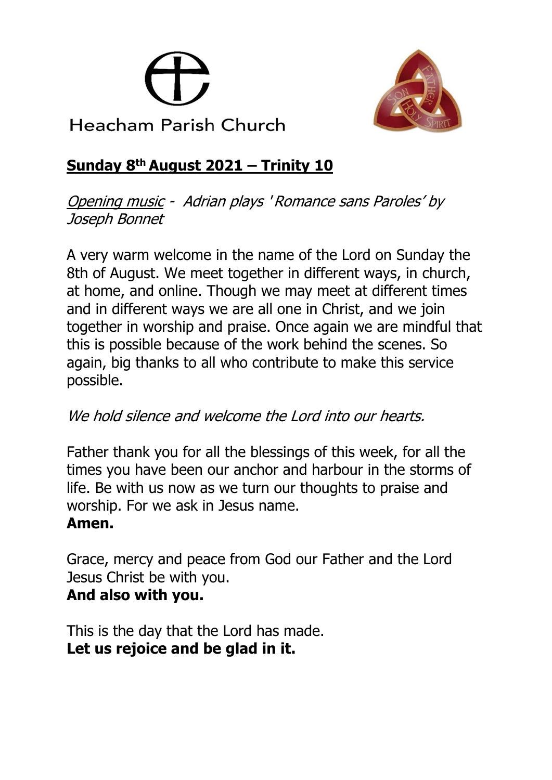



# Heacham Parish Church

# **Sunday 8 th August 2021 – Trinity 10**

Opening music - Adrian plays ' Romance sans Paroles' by Joseph Bonnet

A very warm welcome in the name of the Lord on Sunday the 8th of August. We meet together in different ways, in church, at home, and online. Though we may meet at different times and in different ways we are all one in Christ, and we join together in worship and praise. Once again we are mindful that this is possible because of the work behind the scenes. So again, big thanks to all who contribute to make this service possible.

### We hold silence and welcome the Lord into our hearts.

Father thank you for all the blessings of this week, for all the times you have been our anchor and harbour in the storms of life. Be with us now as we turn our thoughts to praise and worship. For we ask in Jesus name. **Amen.**

Grace, mercy and peace from God our Father and the Lord Jesus Christ be with you. **And also with you.**

This is the day that the Lord has made. **Let us rejoice and be glad in it.**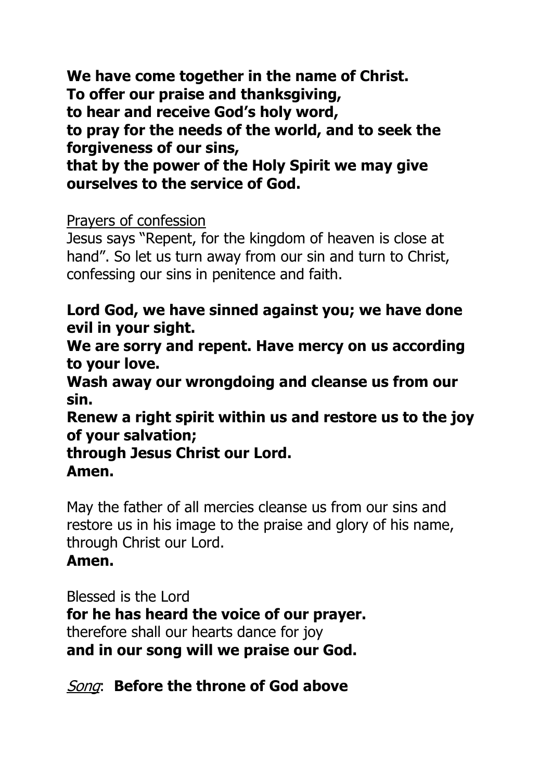**We have come together in the name of Christ. To offer our praise and thanksgiving, to hear and receive God's holy word, to pray for the needs of the world, and to seek the forgiveness of our sins, that by the power of the Holy Spirit we may give** 

**ourselves to the service of God.**

Prayers of confession

Jesus says "Repent, for the kingdom of heaven is close at hand". So let us turn away from our sin and turn to Christ, confessing our sins in penitence and faith.

**Lord God, we have sinned against you; we have done evil in your sight.**

**We are sorry and repent. Have mercy on us according to your love.**

**Wash away our wrongdoing and cleanse us from our sin.**

**Renew a right spirit within us and restore us to the joy of your salvation;**

**through Jesus Christ our Lord. Amen.**

May the father of all mercies cleanse us from our sins and restore us in his image to the praise and glory of his name, through Christ our Lord.

### **Amen.**

Blessed is the Lord **for he has heard the voice of our prayer.** therefore shall our hearts dance for joy **and in our song will we praise our God.**

Song: **Before the throne of God above**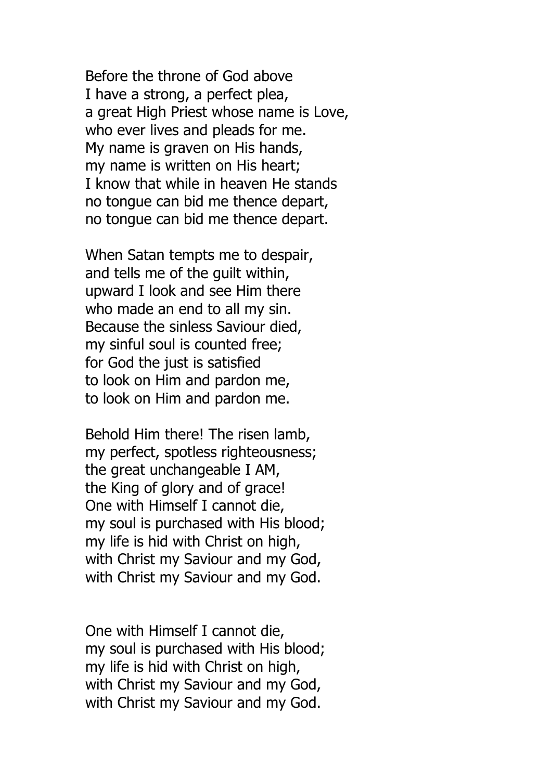Before the throne of God above I have a strong, a perfect plea, a great High Priest whose name is Love, who ever lives and pleads for me. My name is graven on His hands, my name is written on His heart; I know that while in heaven He stands no tongue can bid me thence depart, no tongue can bid me thence depart.

When Satan tempts me to despair, and tells me of the guilt within, upward I look and see Him there who made an end to all my sin. Because the sinless Saviour died, my sinful soul is counted free; for God the just is satisfied to look on Him and pardon me, to look on Him and pardon me.

Behold Him there! The risen lamb, my perfect, spotless righteousness; the great unchangeable I AM, the King of glory and of grace! One with Himself I cannot die, my soul is purchased with His blood; my life is hid with Christ on high, with Christ my Saviour and my God, with Christ my Saviour and my God.

One with Himself I cannot die, my soul is purchased with His blood; my life is hid with Christ on high, with Christ my Saviour and my God, with Christ my Saviour and my God.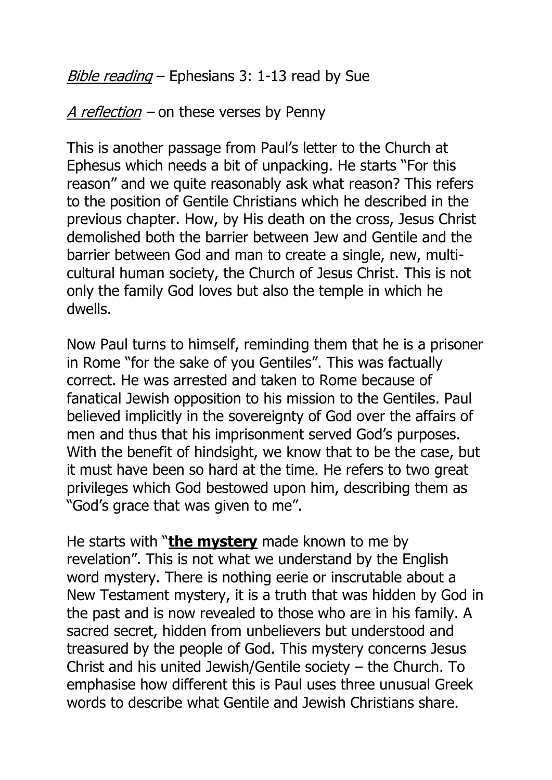Bible reading – Ephesians 3: 1-13 read by Sue

A reflection – on these verses by Penny

This is another passage from Paul's letter to the Church at Ephesus which needs a bit of unpacking. He starts "For this reason" and we quite reasonably ask what reason? This refers to the position of Gentile Christians which he described in the previous chapter. How, by His death on the cross, Jesus Christ demolished both the barrier between Jew and Gentile and the barrier between God and man to create a single, new, multicultural human society, the Church of Jesus Christ. This is not only the family God loves but also the temple in which he dwells.

Now Paul turns to himself, reminding them that he is a prisoner in Rome "for the sake of you Gentiles". This was factually correct. He was arrested and taken to Rome because of fanatical Jewish opposition to his mission to the Gentiles. Paul believed implicitly in the sovereignty of God over the affairs of men and thus that his imprisonment served God's purposes. With the benefit of hindsight, we know that to be the case, but it must have been so hard at the time. He refers to two great privileges which God bestowed upon him, describing them as "God's grace that was given to me".

He starts with "**the mystery** made known to me by revelation". This is not what we understand by the English word mystery. There is nothing eerie or inscrutable about a New Testament mystery, it is a truth that was hidden by God in the past and is now revealed to those who are in his family. A sacred secret, hidden from unbelievers but understood and treasured by the people of God. This mystery concerns Jesus Christ and his united Jewish/Gentile society – the Church. To emphasise how different this is Paul uses three unusual Greek words to describe what Gentile and Jewish Christians share.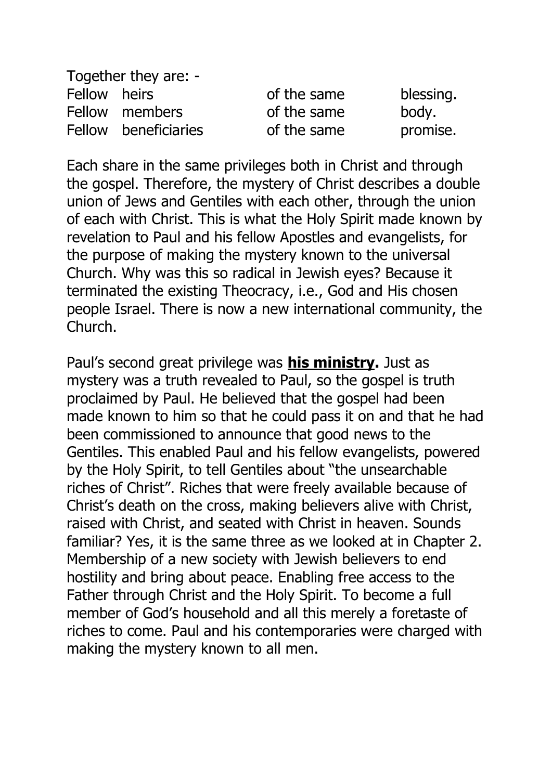| Together they are: - |                      |             |           |
|----------------------|----------------------|-------------|-----------|
| Fellow heirs         |                      | of the same | blessing. |
|                      | Fellow members       | of the same | body.     |
|                      | Fellow beneficiaries | of the same | promise.  |

Each share in the same privileges both in Christ and through the gospel. Therefore, the mystery of Christ describes a double union of Jews and Gentiles with each other, through the union of each with Christ. This is what the Holy Spirit made known by revelation to Paul and his fellow Apostles and evangelists, for the purpose of making the mystery known to the universal Church. Why was this so radical in Jewish eyes? Because it terminated the existing Theocracy, i.e., God and His chosen people Israel. There is now a new international community, the Church.

Paul's second great privilege was **his ministry.** Just as mystery was a truth revealed to Paul, so the gospel is truth proclaimed by Paul. He believed that the gospel had been made known to him so that he could pass it on and that he had been commissioned to announce that good news to the Gentiles. This enabled Paul and his fellow evangelists, powered by the Holy Spirit, to tell Gentiles about "the unsearchable riches of Christ". Riches that were freely available because of Christ's death on the cross, making believers alive with Christ, raised with Christ, and seated with Christ in heaven. Sounds familiar? Yes, it is the same three as we looked at in Chapter 2. Membership of a new society with Jewish believers to end hostility and bring about peace. Enabling free access to the Father through Christ and the Holy Spirit. To become a full member of God's household and all this merely a foretaste of riches to come. Paul and his contemporaries were charged with making the mystery known to all men.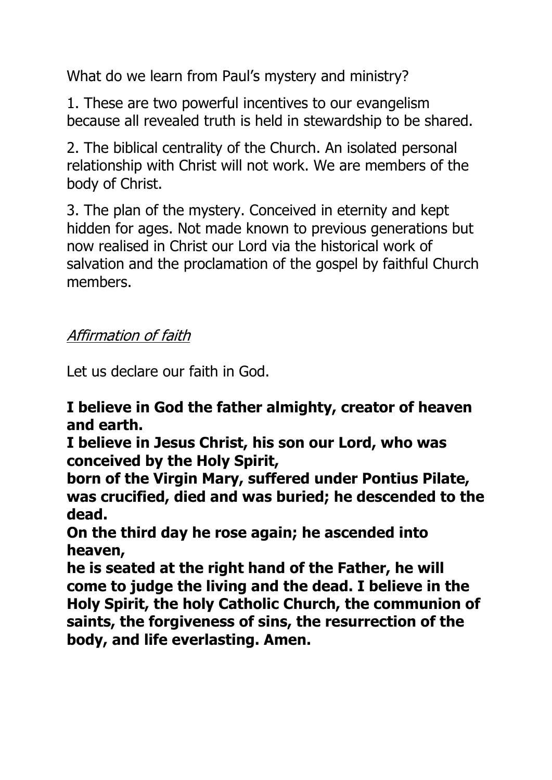What do we learn from Paul's mystery and ministry?

1. These are two powerful incentives to our evangelism because all revealed truth is held in stewardship to be shared.

2. The biblical centrality of the Church. An isolated personal relationship with Christ will not work. We are members of the body of Christ.

3. The plan of the mystery. Conceived in eternity and kept hidden for ages. Not made known to previous generations but now realised in Christ our Lord via the historical work of salvation and the proclamation of the gospel by faithful Church members.

### Affirmation of faith

Let us declare our faith in God.

**I believe in God the father almighty, creator of heaven and earth.**

**I believe in Jesus Christ, his son our Lord, who was conceived by the Holy Spirit,**

**born of the Virgin Mary, suffered under Pontius Pilate, was crucified, died and was buried; he descended to the dead.**

**On the third day he rose again; he ascended into heaven,**

**he is seated at the right hand of the Father, he will come to judge the living and the dead. I believe in the Holy Spirit, the holy Catholic Church, the communion of saints, the forgiveness of sins, the resurrection of the body, and life everlasting. Amen.**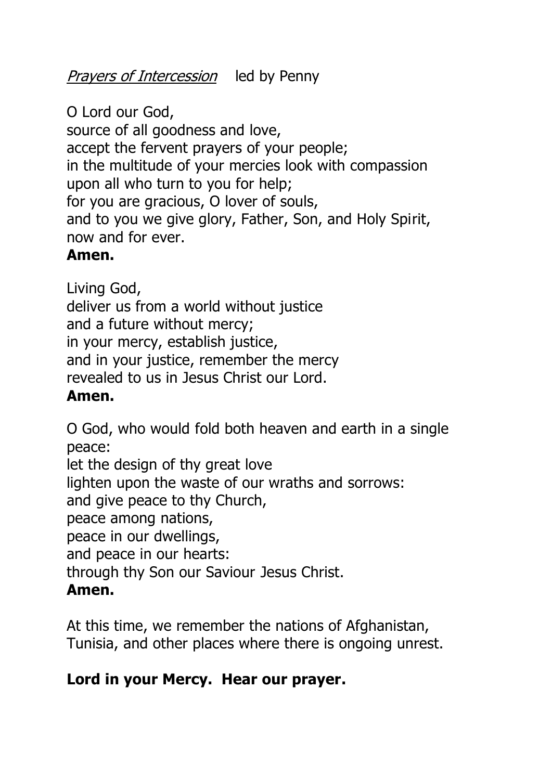Prayers of Intercession led by Penny

O Lord our God, source of all goodness and love, accept the fervent prayers of your people; in the multitude of your mercies look with compassion upon all who turn to you for help; for you are gracious, O lover of souls, and to you we give glory, Father, Son, and Holy Spirit, now and for ever.

#### **Amen.**

Living God,

deliver us from a world without justice and a future without mercy; in your mercy, establish justice, and in your justice, remember the mercy

#### revealed to us in Jesus Christ our Lord.

### **Amen.**

O God, who would fold both heaven and earth in a single peace: let the design of thy great love lighten upon the waste of our wraths and sorrows: and give peace to thy Church, peace among nations, peace in our dwellings, and peace in our hearts: through thy Son our Saviour Jesus Christ.

### **Amen.**

At this time, we remember the nations of Afghanistan, Tunisia, and other places where there is ongoing unrest.

## **Lord in your Mercy. Hear our prayer.**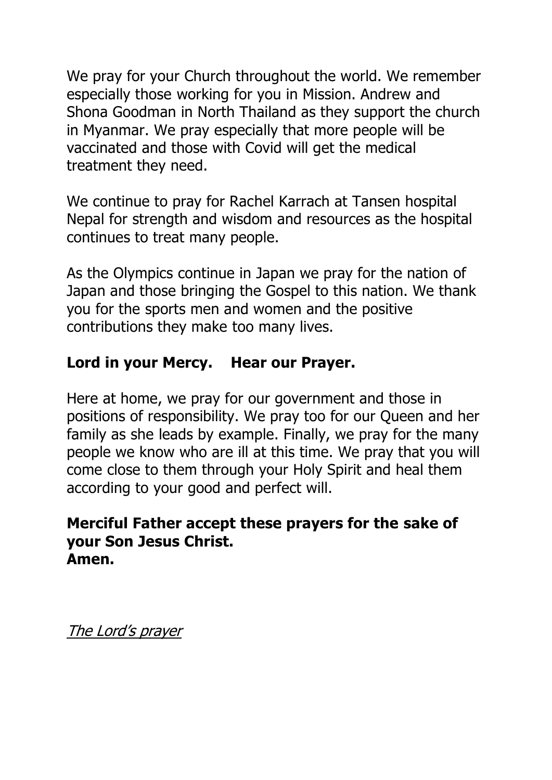We pray for your Church throughout the world. We remember especially those working for you in Mission. Andrew and Shona Goodman in North Thailand as they support the church in Myanmar. We pray especially that more people will be vaccinated and those with Covid will get the medical treatment they need.

We continue to pray for Rachel Karrach at Tansen hospital Nepal for strength and wisdom and resources as the hospital continues to treat many people.

As the Olympics continue in Japan we pray for the nation of Japan and those bringing the Gospel to this nation. We thank you for the sports men and women and the positive contributions they make too many lives.

## **Lord in your Mercy. Hear our Prayer.**

Here at home, we pray for our government and those in positions of responsibility. We pray too for our Queen and her family as she leads by example. Finally, we pray for the many people we know who are ill at this time. We pray that you will come close to them through your Holy Spirit and heal them according to your good and perfect will.

#### **Merciful Father accept these prayers for the sake of your Son Jesus Christ. Amen.**

The Lord's prayer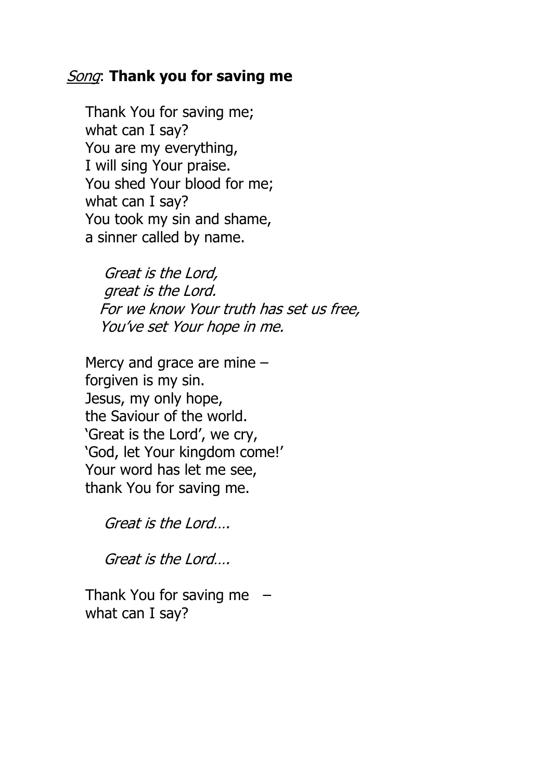### Song: **Thank you for saving me**

Thank You for saving me; what can I say? You are my everything, I will sing Your praise. You shed Your blood for me; what can I say? You took my sin and shame, a sinner called by name.

Great is the Lord, great is the Lord. For we know Your truth has set us free, You've set Your hope in me.

Mercy and grace are mine – forgiven is my sin. Jesus, my only hope, the Saviour of the world. 'Great is the Lord', we cry, 'God, let Your kingdom come!' Your word has let me see, thank You for saving me.

Great is the Lord….

Great is the Lord….

Thank You for saving me  $$ what can I say?